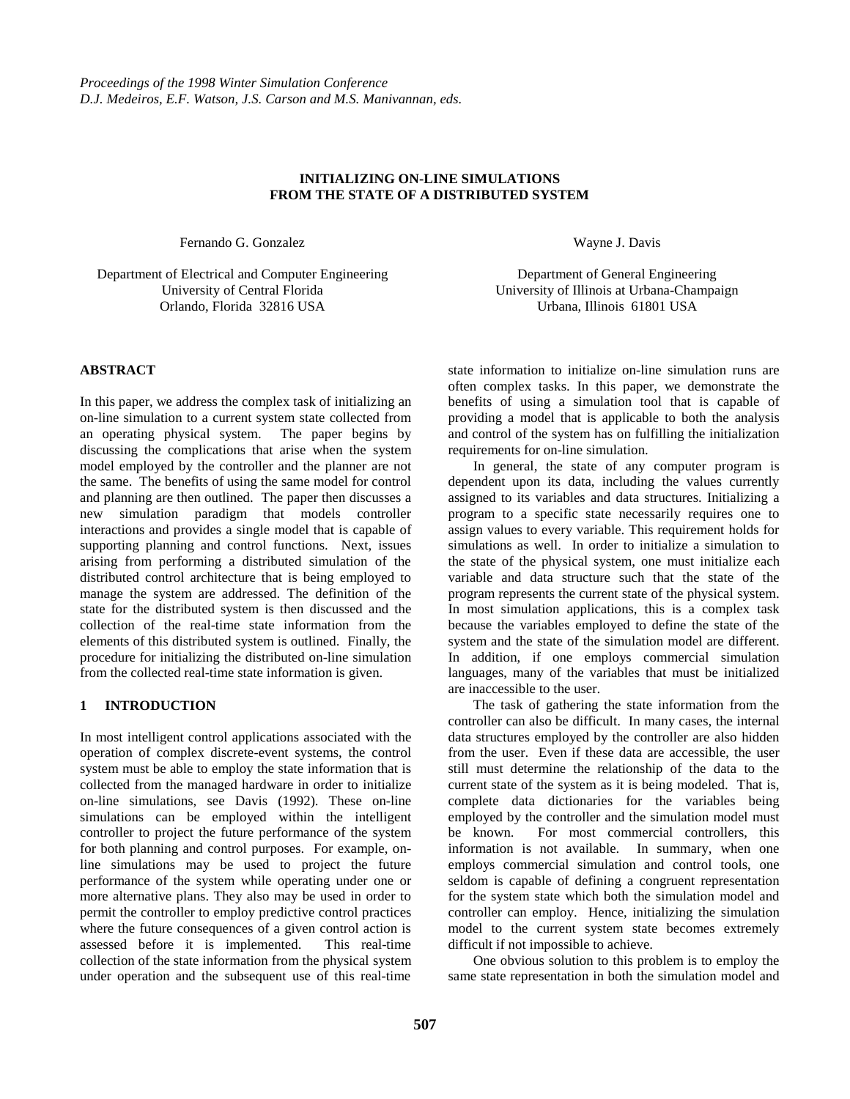## **INITIALIZING ON-LINE SIMULATIONS FROM THE STATE OF A DISTRIBUTED SYSTEM**

Fernando G. Gonzalez

Department of Electrical and Computer Engineering University of Central Florida Orlando, Florida 32816 USA

**ABSTRACT**

In this paper, we address the complex task of initializing an on-line simulation to a current system state collected from an operating physical system. The paper begins by discussing the complications that arise when the system model employed by the controller and the planner are not the same. The benefits of using the same model for control and planning are then outlined. The paper then discusses a new simulation paradigm that models controller interactions and provides a single model that is capable of supporting planning and control functions. Next, issues arising from performing a distributed simulation of the distributed control architecture that is being employed to manage the system are addressed. The definition of the state for the distributed system is then discussed and the collection of the real-time state information from the elements of this distributed system is outlined. Finally, the procedure for initializing the distributed on-line simulation from the collected real-time state information is given.

# **1 INTRODUCTION**

In most intelligent control applications associated with the operation of complex discrete-event systems, the control system must be able to employ the state information that is collected from the managed hardware in order to initialize on-line simulations, see Davis (1992). These on-line simulations can be employed within the intelligent controller to project the future performance of the system for both planning and control purposes. For example, online simulations may be used to project the future performance of the system while operating under one or more alternative plans. They also may be used in order to permit the controller to employ predictive control practices where the future consequences of a given control action is assessed before it is implemented. This real-time collection of the state information from the physical system under operation and the subsequent use of this real-time

Wayne J. Davis

Department of General Engineering University of Illinois at Urbana-Champaign Urbana, Illinois 61801 USA

state information to initialize on-line simulation runs are often complex tasks. In this paper, we demonstrate the benefits of using a simulation tool that is capable of providing a model that is applicable to both the analysis and control of the system has on fulfilling the initialization requirements for on-line simulation.

In general, the state of any computer program is dependent upon its data, including the values currently assigned to its variables and data structures. Initializing a program to a specific state necessarily requires one to assign values to every variable. This requirement holds for simulations as well. In order to initialize a simulation to the state of the physical system, one must initialize each variable and data structure such that the state of the program represents the current state of the physical system. In most simulation applications, this is a complex task because the variables employed to define the state of the system and the state of the simulation model are different. In addition, if one employs commercial simulation languages, many of the variables that must be initialized are inaccessible to the user.

The task of gathering the state information from the controller can also be difficult. In many cases, the internal data structures employed by the controller are also hidden from the user. Even if these data are accessible, the user still must determine the relationship of the data to the current state of the system as it is being modeled. That is, complete data dictionaries for the variables being employed by the controller and the simulation model must be known. For most commercial controllers, this information is not available. In summary, when one employs commercial simulation and control tools, one seldom is capable of defining a congruent representation for the system state which both the simulation model and controller can employ. Hence, initializing the simulation model to the current system state becomes extremely difficult if not impossible to achieve.

One obvious solution to this problem is to employ the same state representation in both the simulation model and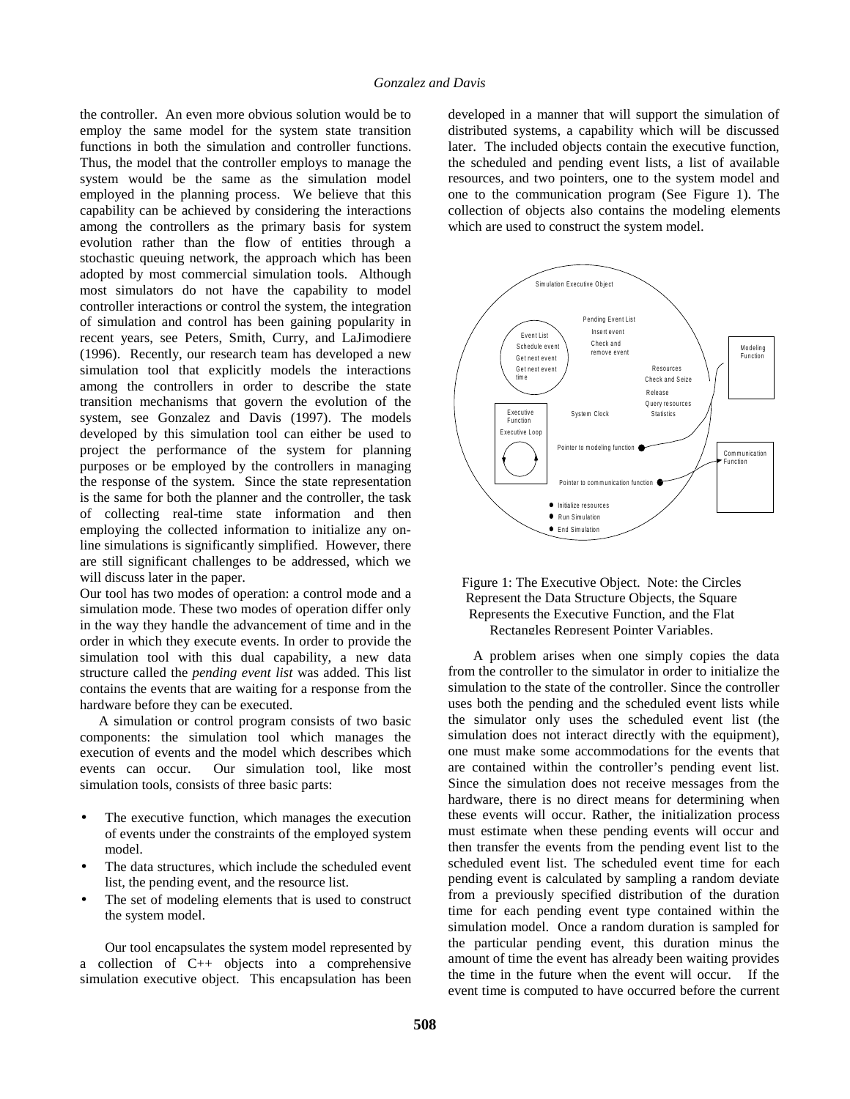the controller. An even more obvious solution would be to employ the same model for the system state transition functions in both the simulation and controller functions. Thus, the model that the controller employs to manage the system would be the same as the simulation model employed in the planning process. We believe that this capability can be achieved by considering the interactions among the controllers as the primary basis for system evolution rather than the flow of entities through a stochastic queuing network, the approach which has been adopted by most commercial simulation tools. Although most simulators do not have the capability to model controller interactions or control the system, the integration of simulation and control has been gaining popularity in recent years, see Peters, Smith, Curry, and LaJimodiere (1996). Recently, our research team has developed a new simulation tool that explicitly models the interactions among the controllers in order to describe the state transition mechanisms that govern the evolution of the system, see Gonzalez and Davis (1997). The models developed by this simulation tool can either be used to project the performance of the system for planning purposes or be employed by the controllers in managing the response of the system. Since the state representation is the same for both the planner and the controller, the task of collecting real-time state information and then employing the collected information to initialize any online simulations is significantly simplified. However, there are still significant challenges to be addressed, which we will discuss later in the paper.

Our tool has two modes of operation: a control mode and a simulation mode. These two modes of operation differ only in the way they handle the advancement of time and in the order in which they execute events. In order to provide the simulation tool with this dual capability, a new data structure called the *pending event list* was added. This list contains the events that are waiting for a response from the hardware before they can be executed.

A simulation or control program consists of two basic components: the simulation tool which manages the execution of events and the model which describes which events can occur. Our simulation tool, like most simulation tools, consists of three basic parts:

- The executive function, which manages the execution of events under the constraints of the employed system model.
- The data structures, which include the scheduled event list, the pending event, and the resource list.
- The set of modeling elements that is used to construct the system model.

Our tool encapsulates the system model represented by a collection of C++ objects into a comprehensive simulation executive object. This encapsulation has been developed in a manner that will support the simulation of distributed systems, a capability which will be discussed later. The included objects contain the executive function, the scheduled and pending event lists, a list of available resources, and two pointers, one to the system model and one to the communication program (See Figure 1). The collection of objects also contains the modeling elements which are used to construct the system model.





A problem arises when one simply copies the data from the controller to the simulator in order to initialize the simulation to the state of the controller. Since the controller uses both the pending and the scheduled event lists while the simulator only uses the scheduled event list (the simulation does not interact directly with the equipment). one must make some accommodations for the events that are contained within the controller's pending event list. Since the simulation does not receive messages from the hardware, there is no direct means for determining when these events will occur. Rather, the initialization process must estimate when these pending events will occur and then transfer the events from the pending event list to the scheduled event list. The scheduled event time for each pending event is calculated by sampling a random deviate from a previously specified distribution of the duration time for each pending event type contained within the simulation model. Once a random duration is sampled for the particular pending event, this duration minus the amount of time the event has already been waiting provides the time in the future when the event will occur. If the event time is computed to have occurred before the current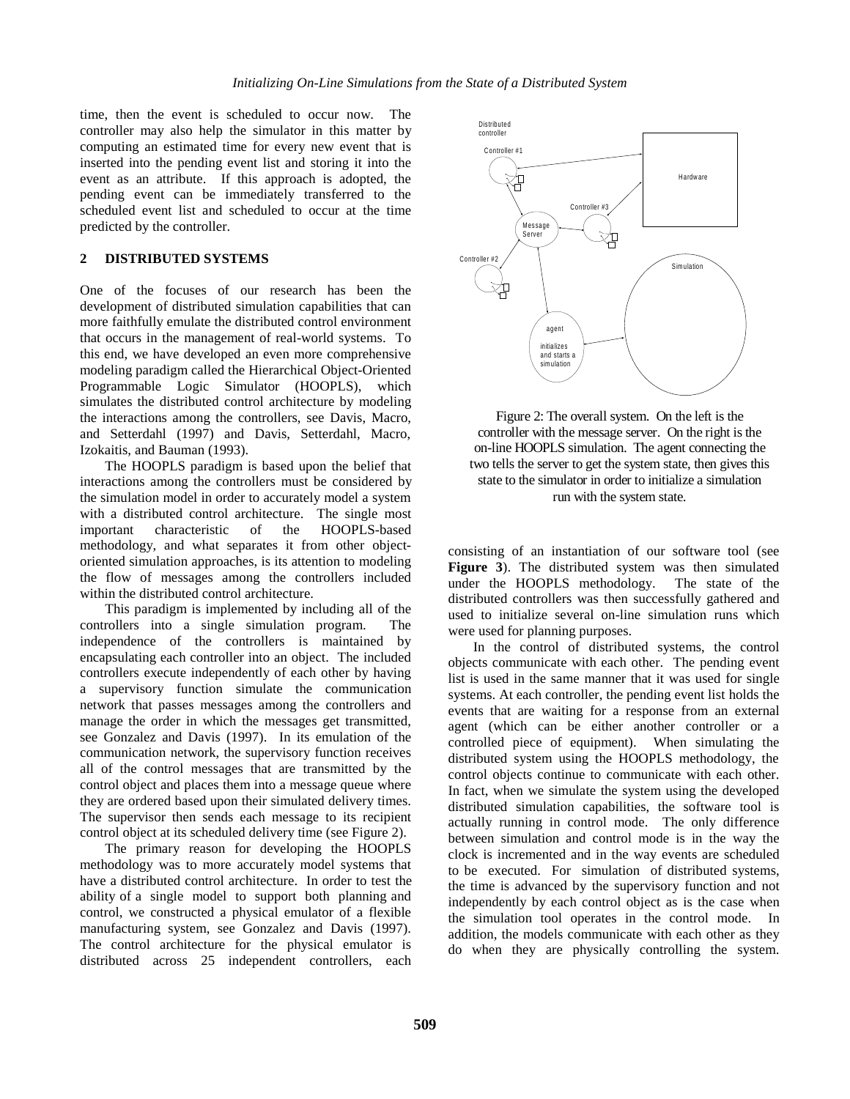time, then the event is scheduled to occur now. The controller may also help the simulator in this matter by computing an estimated time for every new event that is inserted into the pending event list and storing it into the event as an attribute. If this approach is adopted, the pending event can be immediately transferred to the scheduled event list and scheduled to occur at the time predicted by the controller.

# **2 DISTRIBUTED SYSTEMS**

One of the focuses of our research has been the development of distributed simulation capabilities that can more faithfully emulate the distributed control environment that occurs in the management of real-world systems. To this end, we have developed an even more comprehensive modeling paradigm called the Hierarchical Object-Oriented Programmable Logic Simulator (HOOPLS), which simulates the distributed control architecture by modeling the interactions among the controllers, see Davis, Macro, and Setterdahl (1997) and Davis, Setterdahl, Macro, Izokaitis, and Bauman (1993).

The HOOPLS paradigm is based upon the belief that interactions among the controllers must be considered by the simulation model in order to accurately model a system with a distributed control architecture. The single most important characteristic of the HOOPLS-based methodology, and what separates it from other objectoriented simulation approaches, is its attention to modeling the flow of messages among the controllers included within the distributed control architecture.

This paradigm is implemented by including all of the controllers into a single simulation program. The independence of the controllers is maintained by encapsulating each controller into an object. The included controllers execute independently of each other by having a supervisory function simulate the communication network that passes messages among the controllers and manage the order in which the messages get transmitted, see Gonzalez and Davis (1997). In its emulation of the communication network, the supervisory function receives all of the control messages that are transmitted by the control object and places them into a message queue where they are ordered based upon their simulated delivery times. The supervisor then sends each message to its recipient control object at its scheduled delivery time (see Figure 2).

The primary reason for developing the HOOPLS methodology was to more accurately model systems that have a distributed control architecture. In order to test the ability of a single model to support both planning and control, we constructed a physical emulator of a flexible manufacturing system, see Gonzalez and Davis (1997). The control architecture for the physical emulator is distributed across 25 independent controllers, each



Figure 2: The overall system. On the left is the controller with the message server. On the right is the on-line HOOPLS simulation. The agent connecting the two tells the server to get the system state, then gives this state to the simulator in order to initialize a simulation run with the system state.

consisting of an instantiation of our software tool (see **Figure 3**). The distributed system was then simulated under the HOOPLS methodology. The state of the distributed controllers was then successfully gathered and used to initialize several on-line simulation runs which were used for planning purposes.

In the control of distributed systems, the control objects communicate with each other. The pending event list is used in the same manner that it was used for single systems. At each controller, the pending event list holds the events that are waiting for a response from an external agent (which can be either another controller or a controlled piece of equipment). When simulating the distributed system using the HOOPLS methodology, the control objects continue to communicate with each other. In fact, when we simulate the system using the developed distributed simulation capabilities, the software tool is actually running in control mode. The only difference between simulation and control mode is in the way the clock is incremented and in the way events are scheduled to be executed. For simulation of distributed systems, the time is advanced by the supervisory function and not independently by each control object as is the case when the simulation tool operates in the control mode. In addition, the models communicate with each other as they do when they are physically controlling the system.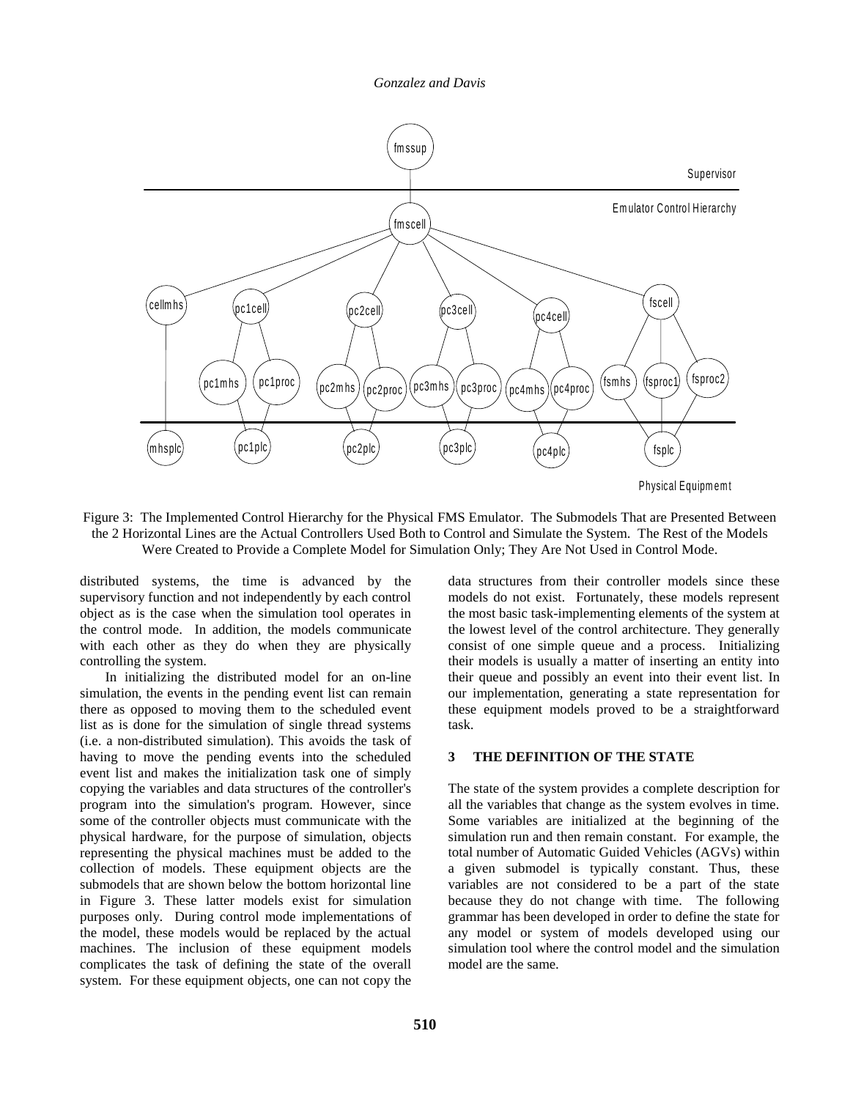

Figure 3: The Implemented Control Hierarchy for the Physical FMS Emulator. The Submodels That are Presented Between the 2 Horizontal Lines are the Actual Controllers Used Both to Control and Simulate the System. The Rest of the Models Were Created to Provide a Complete Model for Simulation Only; They Are Not Used in Control Mode.

distributed systems, the time is advanced by the supervisory function and not independently by each control object as is the case when the simulation tool operates in the control mode. In addition, the models communicate with each other as they do when they are physically controlling the system.

In initializing the distributed model for an on-line simulation, the events in the pending event list can remain there as opposed to moving them to the scheduled event list as is done for the simulation of single thread systems (i.e. a non-distributed simulation). This avoids the task of having to move the pending events into the scheduled event list and makes the initialization task one of simply copying the variables and data structures of the controller's program into the simulation's program. However, since some of the controller objects must communicate with the physical hardware, for the purpose of simulation, objects representing the physical machines must be added to the collection of models. These equipment objects are the submodels that are shown below the bottom horizontal line in Figure 3. These latter models exist for simulation purposes only. During control mode implementations of the model, these models would be replaced by the actual machines. The inclusion of these equipment models complicates the task of defining the state of the overall system. For these equipment objects, one can not copy the

data structures from their controller models since these models do not exist. Fortunately, these models represent the most basic task-implementing elements of the system at the lowest level of the control architecture. They generally consist of one simple queue and a process. Initializing their models is usually a matter of inserting an entity into their queue and possibly an event into their event list. In our implementation, generating a state representation for these equipment models proved to be a straightforward task.

#### **3 THE DEFINITION OF THE STATE**

The state of the system provides a complete description for all the variables that change as the system evolves in time. Some variables are initialized at the beginning of the simulation run and then remain constant. For example, the total number of Automatic Guided Vehicles (AGVs) within a given submodel is typically constant. Thus, these variables are not considered to be a part of the state because they do not change with time. The following grammar has been developed in order to define the state for any model or system of models developed using our simulation tool where the control model and the simulation model are the same.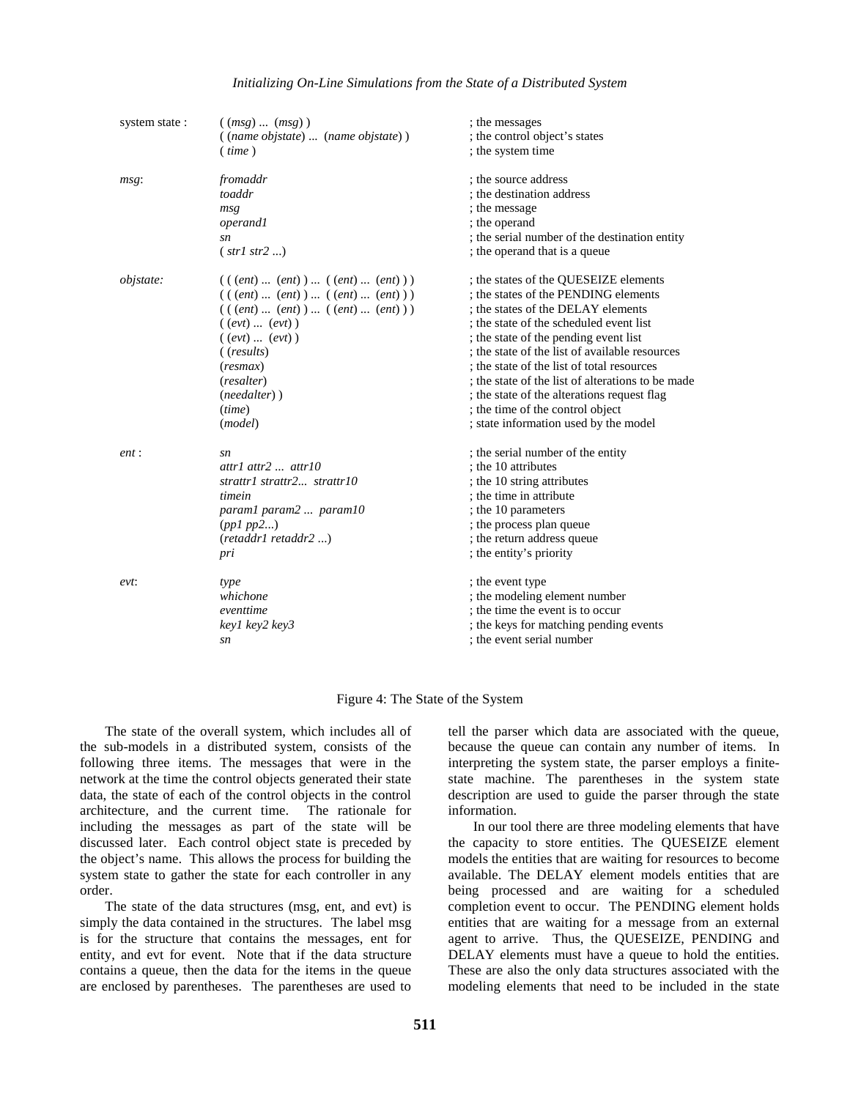#### *Initializing On-Line Simulations from the State of a Distributed System*

| system state:    | ((msg)(msg))                         | ; the messages                                    |
|------------------|--------------------------------------|---------------------------------------------------|
|                  | ((name objstate)  (name objstate))   | ; the control object's states                     |
|                  | (iime)                               | ; the system time                                 |
| msg:             | fromaddr                             | ; the source address                              |
|                  | toaddr                               | ; the destination address                         |
|                  | msg                                  | ; the message                                     |
|                  | <i>operand1</i>                      | ; the operand                                     |
|                  | sn                                   | ; the serial number of the destination entity     |
|                  | (str1 str2 )                         | ; the operand that is a queue                     |
| <i>objstate:</i> | $(( (ent)  (ent))  ( (ent)  (ent)))$ | ; the states of the QUESEIZE elements             |
|                  | $(( (ent)  (ent))  ( (ent)  (ent)))$ | ; the states of the PENDING elements              |
|                  | $(( (ent)  (ent))  ( (ent)  (ent)))$ | ; the states of the DELAY elements                |
|                  | ((evt)  (evt))                       | ; the state of the scheduled event list           |
|                  | ((evt)  (evt))                       | ; the state of the pending event list             |
|                  | ( (results)                          | ; the state of the list of available resources    |
|                  | (resmax)                             | ; the state of the list of total resources        |
|                  | ( <i>resalter</i> )                  | ; the state of the list of alterations to be made |
|                  | $(needalter)$ )                      | ; the state of the alterations request flag       |
|                  | (time)                               | ; the time of the control object                  |
|                  | (model)                              | ; state information used by the model             |
| ent:             | sn                                   | ; the serial number of the entity                 |
|                  | $attr1$ attr2 $attr10$               | ; the 10 attributes                               |
|                  | strattr1 strattr2 strattr10          | ; the 10 string attributes                        |
|                  | timein                               | ; the time in attribute                           |
|                  | param1 param2  param10               | ; the 10 parameters                               |
|                  | (ppl pp2)                            | ; the process plan queue                          |
|                  | (retaddr1 retaddr2 )                 | ; the return address queue                        |
|                  | pri                                  | ; the entity's priority                           |
| $evt$ :          | type                                 | ; the event type                                  |
|                  | whichone                             | ; the modeling element number                     |
|                  | eventtime                            | ; the time the event is to occur                  |
|                  | key1 key2 key3                       | ; the keys for matching pending events            |
|                  | sn                                   | ; the event serial number                         |
|                  |                                      |                                                   |

#### Figure 4: The State of the System

The state of the overall system, which includes all of the sub-models in a distributed system, consists of the following three items. The messages that were in the network at the time the control objects generated their state data, the state of each of the control objects in the control architecture, and the current time. The rationale for including the messages as part of the state will be discussed later. Each control object state is preceded by the object's name. This allows the process for building the system state to gather the state for each controller in any order.

The state of the data structures (msg, ent, and evt) is simply the data contained in the structures. The label msg is for the structure that contains the messages, ent for entity, and evt for event. Note that if the data structure contains a queue, then the data for the items in the queue are enclosed by parentheses. The parentheses are used to

tell the parser which data are associated with the queue, because the queue can contain any number of items. In interpreting the system state, the parser employs a finitestate machine. The parentheses in the system state description are used to guide the parser through the state information.

In our tool there are three modeling elements that have the capacity to store entities. The QUESEIZE element models the entities that are waiting for resources to become available. The DELAY element models entities that are being processed and are waiting for a scheduled completion event to occur. The PENDING element holds entities that are waiting for a message from an external agent to arrive. Thus, the QUESEIZE, PENDING and DELAY elements must have a queue to hold the entities. These are also the only data structures associated with the modeling elements that need to be included in the state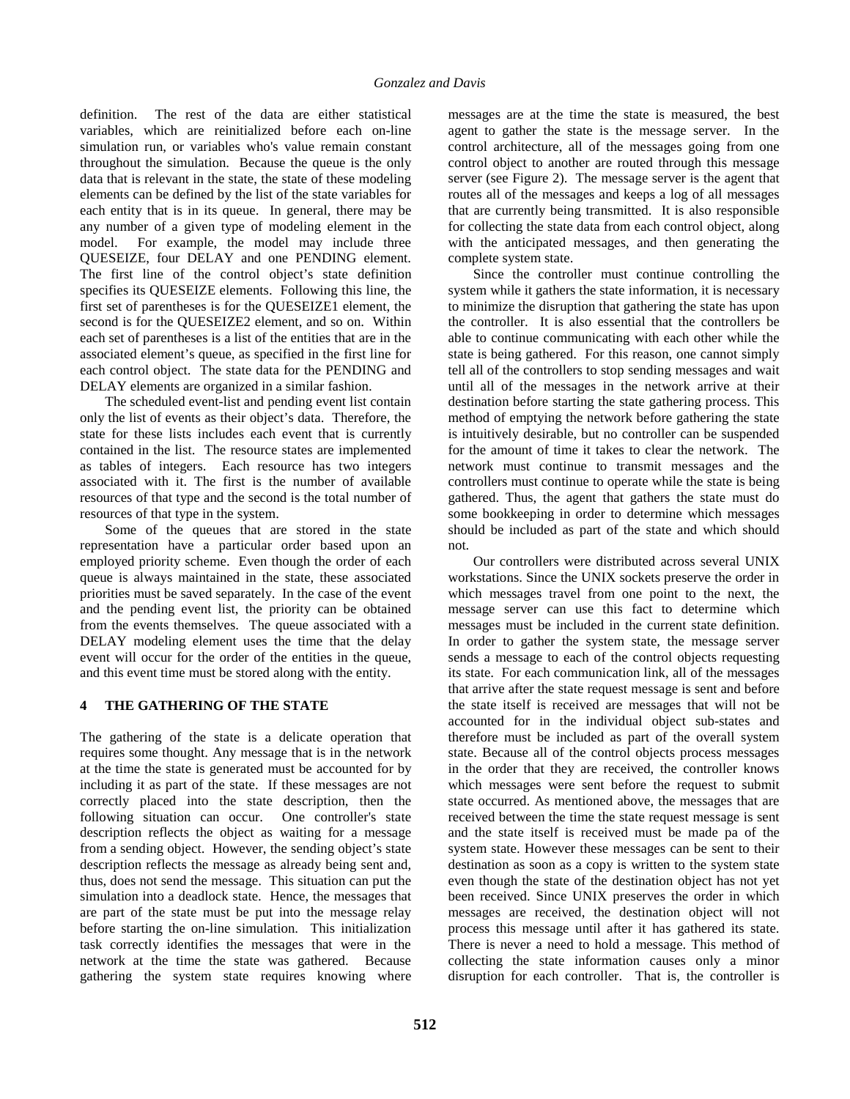definition. The rest of the data are either statistical variables, which are reinitialized before each on-line simulation run, or variables who's value remain constant throughout the simulation. Because the queue is the only data that is relevant in the state, the state of these modeling elements can be defined by the list of the state variables for each entity that is in its queue. In general, there may be any number of a given type of modeling element in the model. For example, the model may include three QUESEIZE, four DELAY and one PENDING element. The first line of the control object's state definition specifies its QUESEIZE elements. Following this line, the first set of parentheses is for the QUESEIZE1 element, the second is for the QUESEIZE2 element, and so on. Within each set of parentheses is a list of the entities that are in the associated element's queue, as specified in the first line for each control object. The state data for the PENDING and DELAY elements are organized in a similar fashion.

The scheduled event-list and pending event list contain only the list of events as their object's data. Therefore, the state for these lists includes each event that is currently contained in the list. The resource states are implemented as tables of integers. Each resource has two integers associated with it. The first is the number of available resources of that type and the second is the total number of resources of that type in the system.

Some of the queues that are stored in the state representation have a particular order based upon an employed priority scheme. Even though the order of each queue is always maintained in the state, these associated priorities must be saved separately. In the case of the event and the pending event list, the priority can be obtained from the events themselves. The queue associated with a DELAY modeling element uses the time that the delay event will occur for the order of the entities in the queue, and this event time must be stored along with the entity.

# **4 THE GATHERING OF THE STATE**

The gathering of the state is a delicate operation that requires some thought. Any message that is in the network at the time the state is generated must be accounted for by including it as part of the state. If these messages are not correctly placed into the state description, then the following situation can occur. One controller's state description reflects the object as waiting for a message from a sending object. However, the sending object's state description reflects the message as already being sent and, thus, does not send the message. This situation can put the simulation into a deadlock state. Hence, the messages that are part of the state must be put into the message relay before starting the on-line simulation. This initialization task correctly identifies the messages that were in the network at the time the state was gathered. Because gathering the system state requires knowing where

messages are at the time the state is measured, the best agent to gather the state is the message server. In the control architecture, all of the messages going from one control object to another are routed through this message server (see Figure 2). The message server is the agent that routes all of the messages and keeps a log of all messages that are currently being transmitted. It is also responsible for collecting the state data from each control object, along with the anticipated messages, and then generating the complete system state.

Since the controller must continue controlling the system while it gathers the state information, it is necessary to minimize the disruption that gathering the state has upon the controller. It is also essential that the controllers be able to continue communicating with each other while the state is being gathered. For this reason, one cannot simply tell all of the controllers to stop sending messages and wait until all of the messages in the network arrive at their destination before starting the state gathering process. This method of emptying the network before gathering the state is intuitively desirable, but no controller can be suspended for the amount of time it takes to clear the network. The network must continue to transmit messages and the controllers must continue to operate while the state is being gathered. Thus, the agent that gathers the state must do some bookkeeping in order to determine which messages should be included as part of the state and which should not.

Our controllers were distributed across several UNIX workstations. Since the UNIX sockets preserve the order in which messages travel from one point to the next, the message server can use this fact to determine which messages must be included in the current state definition. In order to gather the system state, the message server sends a message to each of the control objects requesting its state. For each communication link, all of the messages that arrive after the state request message is sent and before the state itself is received are messages that will not be accounted for in the individual object sub-states and therefore must be included as part of the overall system state. Because all of the control objects process messages in the order that they are received, the controller knows which messages were sent before the request to submit state occurred. As mentioned above, the messages that are received between the time the state request message is sent and the state itself is received must be made pa of the system state. However these messages can be sent to their destination as soon as a copy is written to the system state even though the state of the destination object has not yet been received. Since UNIX preserves the order in which messages are received, the destination object will not process this message until after it has gathered its state. There is never a need to hold a message. This method of collecting the state information causes only a minor disruption for each controller. That is, the controller is